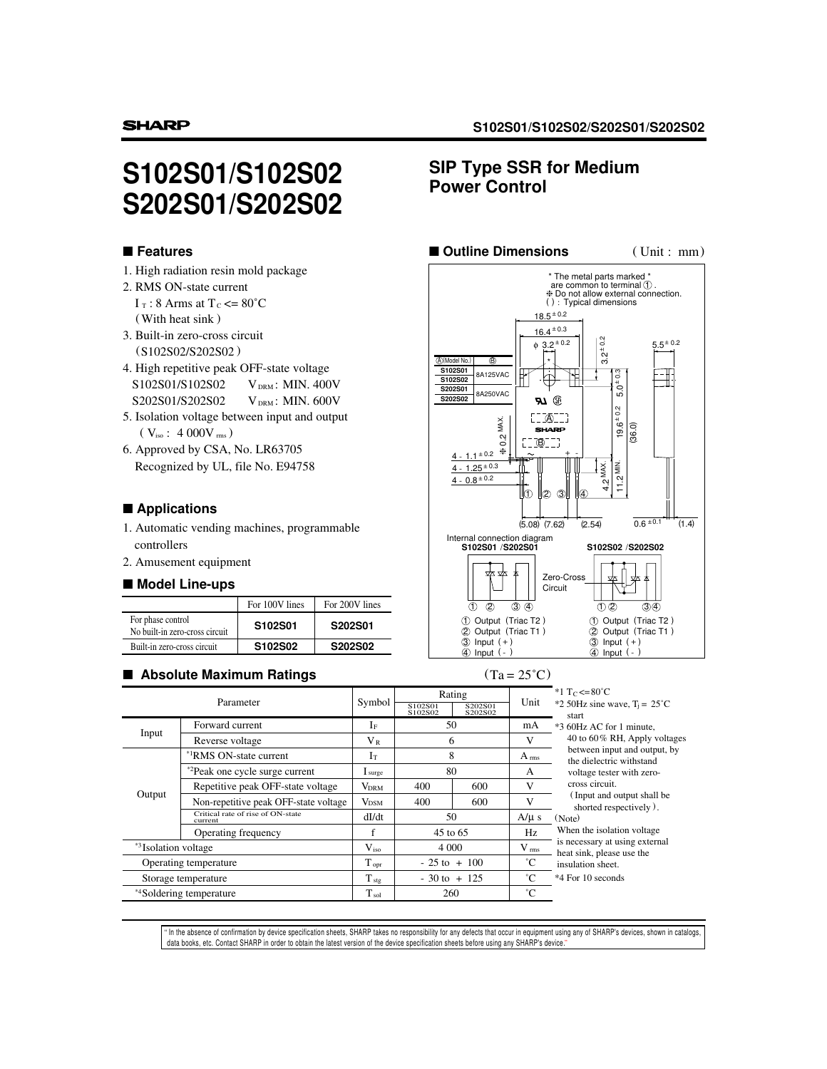# **S102S01/S102S02 S202S01/S202S02**

## ■ **Features**

- 1. High radiation resin mold package
- 2. RMS ON-state current  $I_T$ : 8 Arms at  $T_c \le 80^{\circ}$ C
	- (With heat sink )
- 3. Built-in zero-cross circuit (S102S02/S202S02 )
- 4. High repetitive peak OFF-state voltage S102S01/S102S02 VDRM: MIN. 400V S202S01/S202S02 VDRM: MIN. 600V
- 5. Isolation voltage between input and output  $(\rm~V_{\rm iso}~:~4~000V$   $_{\rm rms})$
- 6. Approved by CSA, No. LR63705 Recognized by UL, file No. E94758

#### ■ **Applications**

- 1. Automatic vending machines, programmable controllers
- 2. Amusement equipment

#### ■ **Model Line-ups**

|                                                     | For 100V lines | For 200V lines |
|-----------------------------------------------------|----------------|----------------|
| For phase control<br>No built-in zero-cross circuit | S102S01        | S202S01        |
| Built-in zero-cross circuit                         | S102S02        | S202S02        |

#### ■ Absolute Maximum Ratings (Ta = 25<sup>°</sup>C)

# **SIP Type SSR for Medium Power Control**



| Parameter                        |                                              | Symbol              | Rating<br>S102S01<br>S202S01<br>S102S02<br>S202S02 |                  | Unit                                                     | *1 T <sub>C</sub> <= $80^{\circ}$ C<br>*2 50Hz sine wave, $T_i = 25^{\circ}C$<br>start                |  |  |
|----------------------------------|----------------------------------------------|---------------------|----------------------------------------------------|------------------|----------------------------------------------------------|-------------------------------------------------------------------------------------------------------|--|--|
| Input                            | Forward current                              | If                  | 50                                                 |                  | mA                                                       | *3 60Hz AC for 1 minute,                                                                              |  |  |
|                                  | $V_{R}$<br>6<br>Reverse voltage              |                     |                                                    | V                | 40 to 60% RH, Apply voltages                             |                                                                                                       |  |  |
| Output                           | <sup>*1</sup> RMS ON-state current           | 8<br>$I_T$          |                                                    | $A_{\text{rms}}$ | between input and output, by<br>the dielectric withstand |                                                                                                       |  |  |
|                                  | <sup>*2</sup> Peak one cycle surge current   | $\mathbf 1$ surge   | 80                                                 |                  | A                                                        | voltage tester with zero-                                                                             |  |  |
|                                  | Repetitive peak OFF-state voltage            | <b>VDRM</b>         | 400                                                | 600              | V                                                        | cross circuit.                                                                                        |  |  |
|                                  | Non-repetitive peak OFF-state voltage        | <b>VDSM</b>         | 400                                                | 600              | V                                                        | (Input and output shall be)<br>shorted respectively).                                                 |  |  |
|                                  | Critical rate of rise of ON-state<br>current | dI/dt               | 50                                                 |                  | $A/\mu s$                                                | (Note)<br>When the isolation voltage                                                                  |  |  |
|                                  | Operating frequency                          |                     | 45 to 65                                           |                  | Hz                                                       |                                                                                                       |  |  |
| * <sup>3</sup> Isolation voltage |                                              | $V_{iso}$           | 4 0 0 0                                            |                  | $V$ <sub>rms</sub>                                       | is necessary at using external<br>heat sink, please use the<br>insulation sheet.<br>*4 For 10 seconds |  |  |
| Operating temperature            |                                              | $T$ opr             | $-25$ to $+100$                                    |                  | $^{\circ}C$                                              |                                                                                                       |  |  |
| Storage temperature              |                                              | $\rm T_{\,\rm stg}$ | $-30$ to $+125$                                    |                  | $^{\circ}C$                                              |                                                                                                       |  |  |
| *4Soldering temperature          |                                              | $\rm T_{\,\rm sol}$ | 260                                                |                  | $^{\circ}C$                                              |                                                                                                       |  |  |

" In the absence of confirmation by device specification sheets, SHARP takes no responsibility for any defects that occur in equipment using any of SHARP's devices, shown in catalogs,<br>data books, etc. Contact SHARP in orde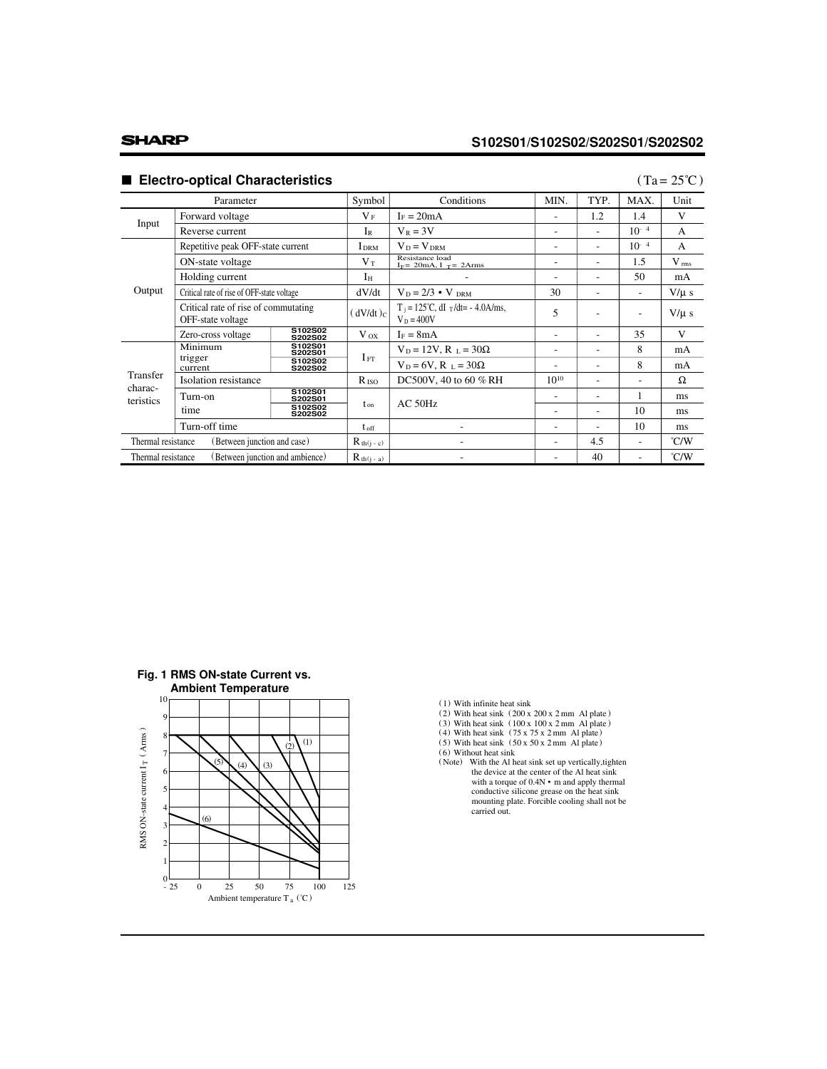# **SHARP**

# **S102S01/S102S02/S202S01/S202S02**

# ■ **Electro-optical Characteristics**

### $(Ta = 25^{\circ}C)$

| Parameter                                             |                                                           | Symbol             | Conditions    | MIN.                                                          | TYP.                     | MAX.                     | Unit                     |                    |
|-------------------------------------------------------|-----------------------------------------------------------|--------------------|---------------|---------------------------------------------------------------|--------------------------|--------------------------|--------------------------|--------------------|
|                                                       | Forward voltage                                           |                    | $V_F$         | $I_F = 20mA$                                                  |                          | 1.2                      | 1.4                      | V                  |
| Input                                                 | Reverse current                                           |                    | IR            | $V_R = 3V$                                                    | ۰                        | $\overline{\phantom{a}}$ | $10^{-4}$                | $\mathsf{A}$       |
| Output                                                | Repetitive peak OFF-state current                         |                    | <b>I</b> DRM  | $V_D = V_{DRM}$                                               |                          | $\overline{a}$           | $10^{-4}$                | $\mathsf{A}$       |
|                                                       | ON-state voltage                                          |                    | $V_T$         | Resistance load<br>$I_F$ = 20mA, I $_T$ = 2Arms               | $\overline{\phantom{a}}$ | $\overline{\phantom{a}}$ | 1.5                      | $V$ <sub>rms</sub> |
|                                                       | Holding current                                           |                    | $I_H$         |                                                               |                          | ۰                        | 50                       | mA                 |
|                                                       | Critical rate of rise of OFF-state voltage                |                    | dV/dt         | $V_D = 2/3 \cdot V_{DRM}$                                     | 30                       | $\overline{\phantom{a}}$ | $\overline{\phantom{a}}$ | $V/\mu s$          |
|                                                       | Critical rate of rise of commutating<br>OFF-state voltage |                    | $(dV/dt)_C$   | $T_i = 125^{\circ}C$ , dI $T/dt = -4.0$ A/ms,<br>$V_D = 400V$ | 5                        |                          | $\overline{\phantom{a}}$ | $V/\mu s$          |
|                                                       | Zero-cross voltage                                        | S102S02<br>S202S02 | $V_{OX}$      | $I_F = 8mA$                                                   |                          |                          | 35                       | V                  |
| Transfer<br>charac-<br>teristics                      | Minimum                                                   | S102S01<br>S202S01 |               | $V_D = 12V$ , $R_L = 30\Omega$                                | $\overline{a}$           | $\overline{\phantom{a}}$ | 8                        | mA                 |
|                                                       | trigger<br>current                                        | S102S02<br>S202S02 | $I_{FT}$      | $V_D = 6V$ , $R_L = 30\Omega$                                 | $\overline{\phantom{a}}$ | $\overline{\phantom{a}}$ | 8                        | mA                 |
|                                                       | Isolation resistance                                      |                    | $R_{\rm ISO}$ | DC500V, 40 to 60 % RH                                         | $10^{10}$                | $\overline{\phantom{a}}$ | ۰                        | Ω                  |
|                                                       | Turn-on                                                   | S102S01<br>S202S01 |               | $AC$ 50Hz                                                     |                          | $\overline{\phantom{a}}$ | 1                        | ms                 |
|                                                       | time                                                      | S102S02<br>S202S02 | $t_{on}$      |                                                               |                          | $\overline{\phantom{a}}$ | 10                       | ms                 |
|                                                       | Turn-off time                                             |                    | $t_{\rm off}$ |                                                               | ۰                        | $\overline{\phantom{a}}$ | 10                       | ms                 |
| Thermal resistance<br>(Between junction and case)     |                                                           | $R_{th(j-c)}$      |               | ۰                                                             | 4.5                      | ٠                        | $\degree$ C/W            |                    |
| (Between junction and ambience)<br>Thermal resistance |                                                           | $R_{th(j - a)}$    |               |                                                               | 40                       |                          | $\degree$ C/W            |                    |





- 
- (1) With infinite heat sink<br>
(2) With heat sink  $(200 \times 200 \times 2 \text{ mm})$  Al plate<br>
(3) With heat sink  $(100 \times 100 \times 2 \text{ mm})$  Al plate<br>
(4) With heat sink  $(75 \times 75 \times 2 \text{ mm})$  Al plate<br>
(5) With heat sink  $(50 \times 50 \times 2 \text{ mm})$  Al
- 
- 
- 
- (Note) With the Al heat sink set up vertically,tighten the device at the center of the Al heat sink conductive silicone grease on the heat sink mounting plate. Forcible cooling shall not be carried out. with a torque of  $0.4N \cdot m$  and apply thermal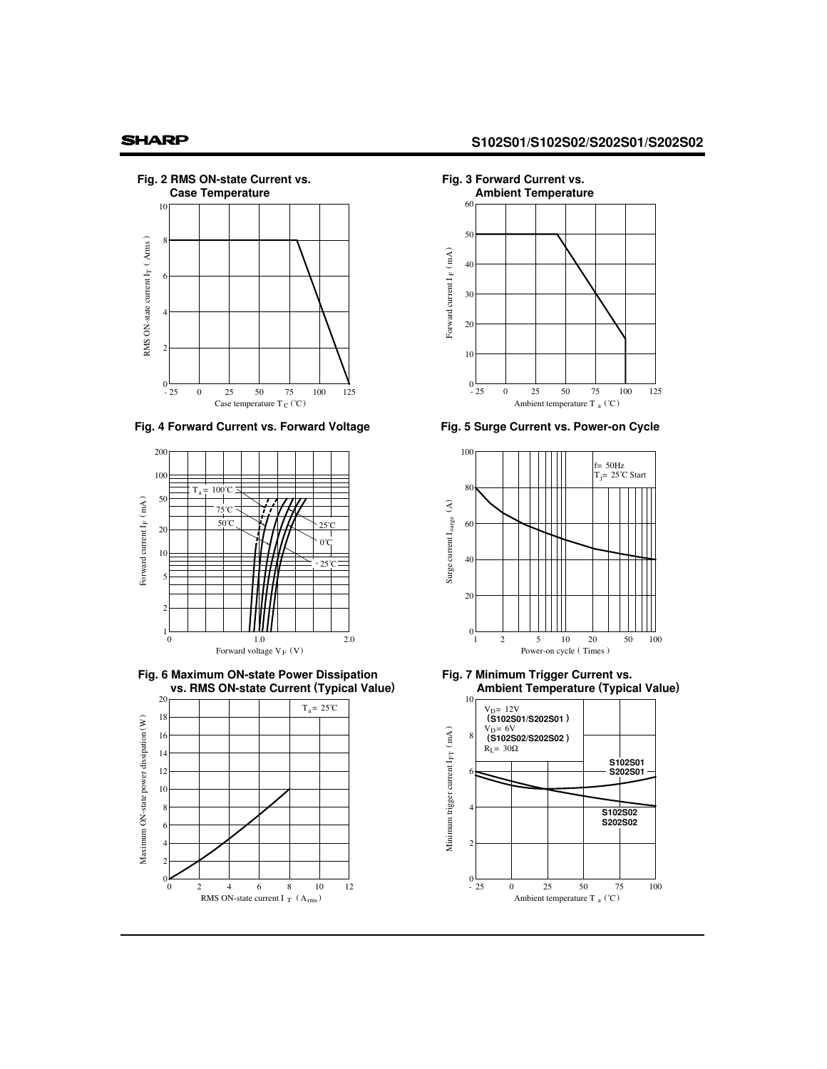### **SHARP**







**Fig. 6 Maximum ON-state Power Dissipation vs. RMS ON-state Current (Typical Value)**







**Fig. 5 Surge Current vs. Power-on Cycle**



**Fig. 7 Minimum Trigger Current vs. Ambient Temperature (Typical Value)**